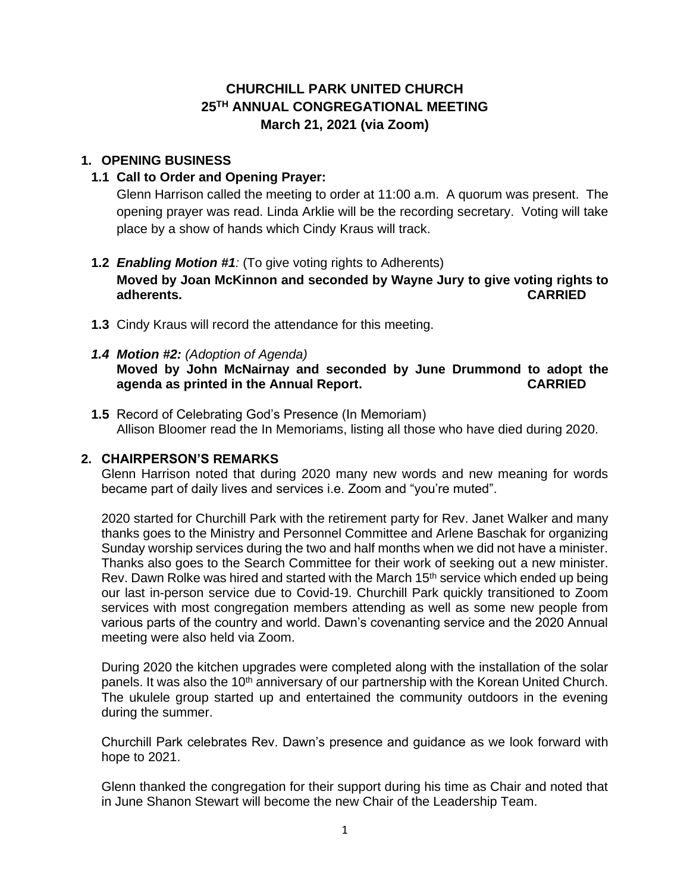# **CHURCHILL PARK UNITED CHURCH 25 TH ANNUAL CONGREGATIONAL MEETING March 21, 2021 (via Zoom)**

# **1. OPENING BUSINESS**

# **1.1 Call to Order and Opening Prayer:**

Glenn Harrison called the meeting to order at 11:00 a.m. A quorum was present. The opening prayer was read. Linda Arklie will be the recording secretary. Voting will take place by a show of hands which Cindy Kraus will track.

# **1.2** *Enabling Motion #1:* (To give voting rights to Adherents) **Moved by Joan McKinnon and seconded by Wayne Jury to give voting rights to adherents. CARRIED**

- **1.3** Cindy Kraus will record the attendance for this meeting.
- *1.4 Motion #2: (Adoption of Agenda)* **Moved by John McNairnay and seconded by June Drummond to adopt the agenda as printed in the Annual Report. CARRIED**
- **1.5** Record of Celebrating God's Presence (In Memoriam) Allison Bloomer read the In Memoriams, listing all those who have died during 2020.

## **2. CHAIRPERSON'S REMARKS**

Glenn Harrison noted that during 2020 many new words and new meaning for words became part of daily lives and services i.e. Zoom and "you're muted".

2020 started for Churchill Park with the retirement party for Rev. Janet Walker and many thanks goes to the Ministry and Personnel Committee and Arlene Baschak for organizing Sunday worship services during the two and half months when we did not have a minister. Thanks also goes to the Search Committee for their work of seeking out a new minister. Rev. Dawn Rolke was hired and started with the March 15<sup>th</sup> service which ended up being our last in-person service due to Covid-19. Churchill Park quickly transitioned to Zoom services with most congregation members attending as well as some new people from various parts of the country and world. Dawn's covenanting service and the 2020 Annual meeting were also held via Zoom.

During 2020 the kitchen upgrades were completed along with the installation of the solar panels. It was also the 10<sup>th</sup> anniversary of our partnership with the Korean United Church. The ukulele group started up and entertained the community outdoors in the evening during the summer.

Churchill Park celebrates Rev. Dawn's presence and guidance as we look forward with hope to 2021.

Glenn thanked the congregation for their support during his time as Chair and noted that in June Shanon Stewart will become the new Chair of the Leadership Team.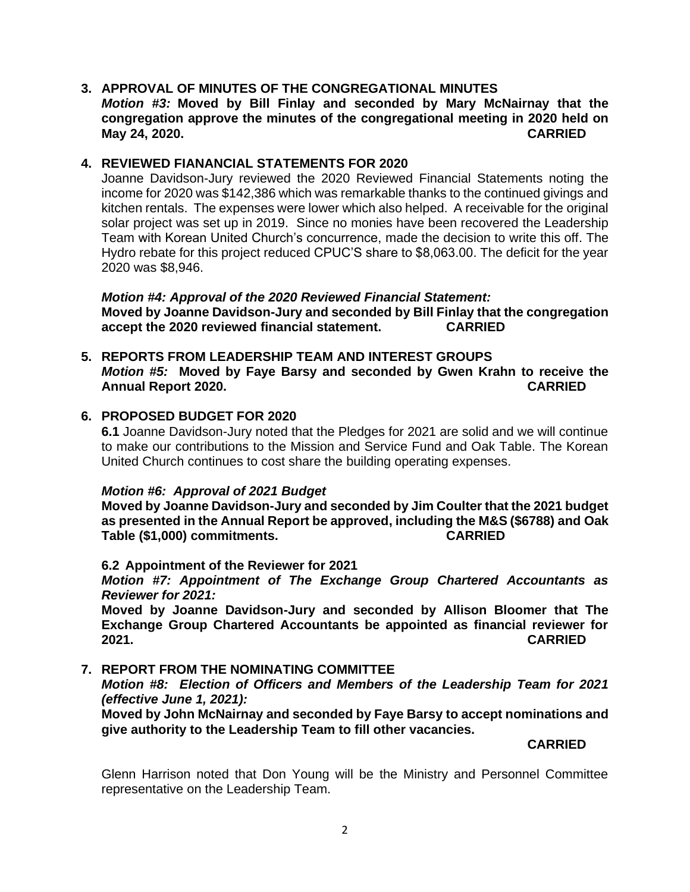# **3. APPROVAL OF MINUTES OF THE CONGREGATIONAL MINUTES** *Motion #3:* **Moved by Bill Finlay and seconded by Mary McNairnay that the congregation approve the minutes of the congregational meeting in 2020 held on May 24, 2020. CARRIED**

# **4. REVIEWED FIANANCIAL STATEMENTS FOR 2020**

Joanne Davidson-Jury reviewed the 2020 Reviewed Financial Statements noting the income for 2020 was \$142,386 which was remarkable thanks to the continued givings and kitchen rentals. The expenses were lower which also helped. A receivable for the original solar project was set up in 2019. Since no monies have been recovered the Leadership Team with Korean United Church's concurrence, made the decision to write this off. The Hydro rebate for this project reduced CPUC'S share to \$8,063.00. The deficit for the year 2020 was \$8,946.

*Motion #4: Approval of the 2020 Reviewed Financial Statement:* **Moved by Joanne Davidson-Jury and seconded by Bill Finlay that the congregation accept the 2020 reviewed financial statement. CARRIED**

**5. REPORTS FROM LEADERSHIP TEAM AND INTEREST GROUPS** *Motion #5:* **Moved by Faye Barsy and seconded by Gwen Krahn to receive the Annual Report 2020. CARRIED**

## **6. PROPOSED BUDGET FOR 2020**

**6.1** Joanne Davidson-Jury noted that the Pledges for 2021 are solid and we will continue to make our contributions to the Mission and Service Fund and Oak Table. The Korean United Church continues to cost share the building operating expenses.

## *Motion #6:**Approval of 2021 Budget*

**Moved by Joanne Davidson-Jury and seconded by Jim Coulter that the 2021 budget as presented in the Annual Report be approved, including the M&S (\$6788) and Oak Table (\$1,000) commitments. CARRIED**

## **6.2 Appointment of the Reviewer for 2021**

*Motion #7: Appointment of The Exchange Group Chartered Accountants as Reviewer for 2021:*

**Moved by Joanne Davidson-Jury and seconded by Allison Bloomer that The Exchange Group Chartered Accountants be appointed as financial reviewer for 2021. CARRIED**

# **7. REPORT FROM THE NOMINATING COMMITTEE**

*Motion #8: Election of Officers and Members of the Leadership Team for 2021 (effective June 1, 2021):*

**Moved by John McNairnay and seconded by Faye Barsy to accept nominations and give authority to the Leadership Team to fill other vacancies.** 

**CARRIED**

Glenn Harrison noted that Don Young will be the Ministry and Personnel Committee representative on the Leadership Team.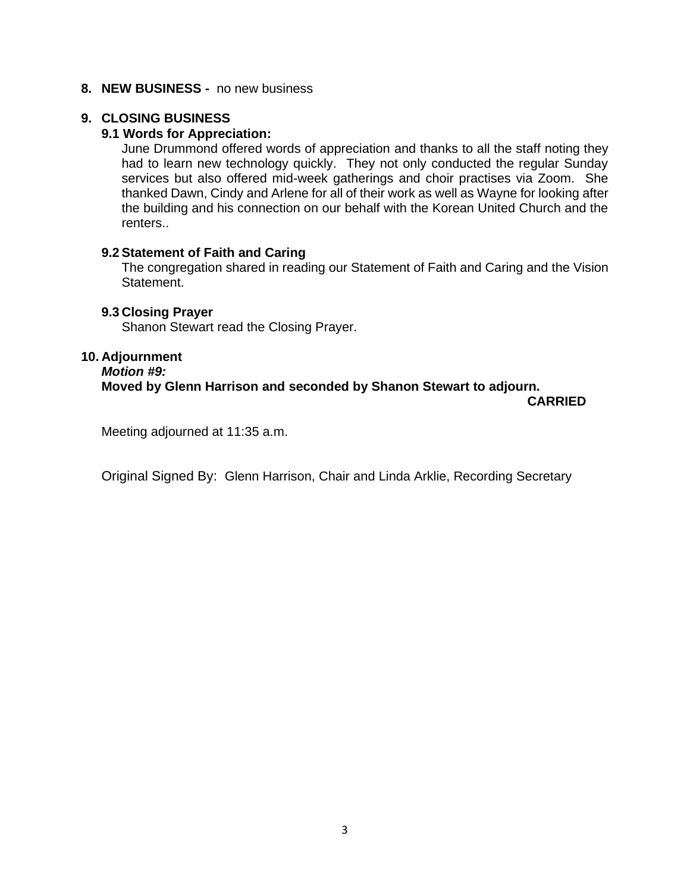#### **8. NEW BUSINESS -** no new business

# **9. CLOSING BUSINESS**

#### **9.1 Words for Appreciation:**

June Drummond offered words of appreciation and thanks to all the staff noting they had to learn new technology quickly. They not only conducted the regular Sunday services but also offered mid-week gatherings and choir practises via Zoom. She thanked Dawn, Cindy and Arlene for all of their work as well as Wayne for looking after the building and his connection on our behalf with the Korean United Church and the renters..

#### **9.2 Statement of Faith and Caring**

The congregation shared in reading our Statement of Faith and Caring and the Vision Statement.

#### **9.3 Closing Prayer**

Shanon Stewart read the Closing Prayer.

#### **10. Adjournment**

*Motion #9:*

# **Moved by Glenn Harrison and seconded by Shanon Stewart to adjourn.**

**CARRIED**

Meeting adjourned at 11:35 a.m.

Original Signed By: Glenn Harrison, Chair and Linda Arklie, Recording Secretary